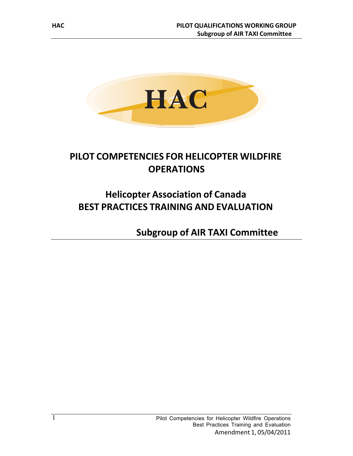

# **PILOT COMPETENCIES FOR HELICOPTER WILDFIRE OPERATIONS**

# **Helicopter Association of Canada BEST PRACTICES TRAINING AND EVALUATION**

**Subgroup of AIR TAXI Committee**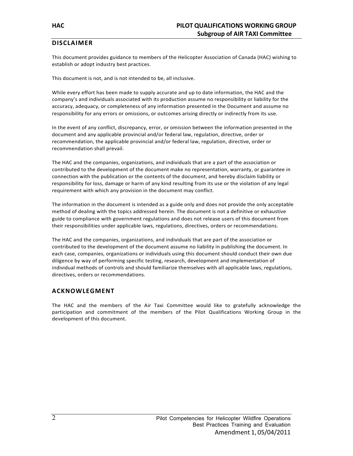### **DISCLAIMER**

This document provides guidance to members of the Helicopter Association of Canada (HAC) wishing to establish or adopt industry best practices.

This document is not, and is not intended to be, all inclusive.

While every effort has been made to supply accurate and up to date information, the HAC and the company's and individuals associated with its production assume no responsibility or liability for the accuracy, adequacy, or completeness of any information presented in the Document and assume no responsibility for any errors or omissions, or outcomes arising directly or indirectly from its use.

In the event of any conflict, discrepancy, error, or omission between the information presented in the document and any applicable provincial and/or federal law, regulation, directive, order or recommendation, the applicable provincial and/or federal law, regulation, directive, order or recommendation shall prevail.

The HAC and the companies, organizations, and individuals that are a part of the association or contributed to the development of the document make no representation, warranty, or guarantee in connection with the publication or the contents of the document, and hereby disclaim liability or responsibility for loss, damage or harm of any kind resulting from its use or the violation of any legal requirement with which any provision in the document may conflict.

The information in the document is intended as a guide only and does not provide the only acceptable method of dealing with the topics addressed herein. The document is not a definitive or exhaustive guide to compliance with government regulations and does not release users of this document from their responsibilities under applicable laws, regulations, directives, orders or recommendations.

The HAC and the companies, organizations, and individuals that are part of the association or contributed to the development of the document assume no liability in publishing the document. In each case, companies, organizations or individuals using this document should conduct their own due diligence by way of performing specific testing, research, development and implementation of individual methods of controls and should familiarize themselves with all applicable laws, regulations, directives, orders or recommendations.

### **ACKNOWLEGMENT**

The HAC and the members of the Air Taxi Committee would like to gratefully acknowledge the participation and commitment of the members of the Pilot Qualifications Working Group in the development of this document.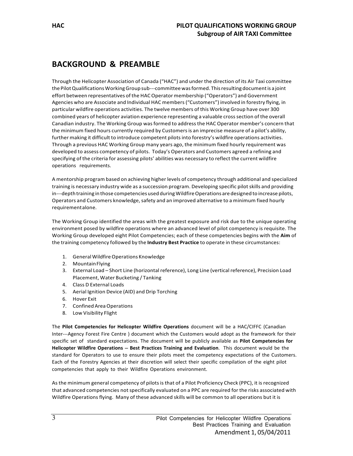# **BACKGROUND & PREAMBLE**

Through the Helicopter Association of Canada ("HAC") and under the direction of its Air Taxi committee the Pilot Qualifications Working Group sub---committee was formed. This resulting document is a joint effort between representatives of the HAC Operator membership ("Operators") and Government Agencies who are Associate and Individual HAC members("Customers") involved in forestry flying, in particular wildfire operations activities. The twelve members of this Working Group have over 300 combined years of helicopter aviation experience representing a valuable crosssection of the overall Canadian industry. The Working Group wasformed to addressthe HAC Operator member's concern that the minimum fixed hours currently required by Customersis an imprecise measure of a pilot's ability, further making it difficult to introduce competent pilots into forestry's wildfire operations activities. Through a previous HAC Working Group many years ago, the minimum fixed hourly requirement was developed to assess competency of pilots. Today's Operators and Customers agreed a refining and specifying of the criteria for assessing pilots' abilities was necessary to reflect the current wildfire operations requirements.

A mentorship program based on achieving higher levels of competency through additional and specialized training is necessary industry wide as a succession program. Developing specific pilot skills and providing in---depth training in those competencies used during Wildfire Operations are designed to increase pilots, Operators and Customers knowledge, safety and an improved alternative to a minimum fixed hourly requirementalone.

The Working Group identified the areas with the greatest exposure and risk due to the unique operating environment posed by wildfire operations where an advanced level of pilot competency is requisite. The Working Group developed eight Pilot Competencies; each of these competencies begins with the **Aim** of the training competency followed by the **Industry Best Practice** to operate in these circumstances:

- 1. General Wildfire Operations Knowledge
- 2. MountainFlying
- 3. External Load Short Line (horizontal reference), Long Line (vertical reference), Precision Load Placement, Water Bucketing / Tanking
- 4. Class D External Loads
- 5. Aerial Ignition Device (AID) and Drip Torching
- 6. Hover Exit
- 7. ConfinedAreaOperations
- 8. Low Visibility Flight

The **Pilot Competencies for Helicopter Wildfire Operations** document will be a HAC/CIFFC (Canadian Inter---Agency Forest Fire Centre ) document which the Customers would adopt as the framework for their specific set of standard expectations. The document will be publicly available as **Pilot Competencies for Helicopter Wildfire Operations**  $-$  Best Practices Training and Evaluation. This document would be the standard for Operators to use to ensure their pilots meet the competency expectations of the Customers. Each of the Forestry Agencies at their discretion will select their specific compilation of the eight pilot competencies that apply to their Wildfire Operations environment.

As the minimum general competency of pilots is that of a Pilot Proficiency Check (PPC), it is recognized that advanced competencies not specifically evaluated on a PPC are required for the risks associated with Wildfire Operations flying. Many of these advanced skills will be common to all operations but it is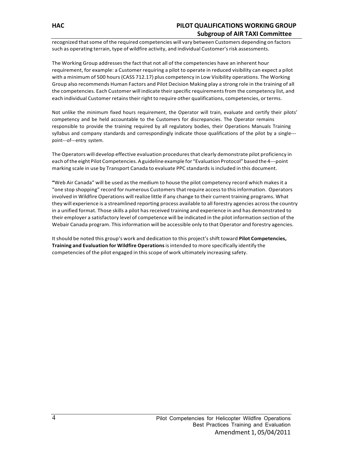# **HAC PILOT QUALIFICATIONS WORKING GROUP Subgroup of AIR TAXI Committee**

recognized that some of the required competencies will vary between Customers depending on factors such as operating terrain, type of wildfire activity, and individual Customer's risk assessments.

The Working Group addressesthe fact that not all of the competencies have an inherent hour requirement, for example: a Customer requiring a pilot to operate in reduced visibility can expect a pilot with a minimum of 500 hours(CASS 712.17) plus competency in Low Visibility operations. The Working Group also recommends Human Factors and Pilot Decision Making play a strong role in the training of all the competencies. Each Customer will indicate their specific requirements from the competency list, and each individual Customer retains their right to require other qualifications, competencies, or terms.

Not unlike the minimum fixed hours requirement, the Operator will train, evaluate and certify their pilots' competency and be held accountable to the Customers for discrepancies. The Operator remains responsible to provide the training required by all regulatory bodies, their Operations Manuals Training syllabus and company standards and correspondingly indicate those qualifications of the pilot by a single-- point---of---entry system.

The Operators will develop effective evaluation proceduresthat clearly demonstrate pilot proficiency in each of the eight Pilot Competencies. A guideline example for "Evaluation Protocol" based the 4---point marking scale in use by Transport Canada to evaluate PPC standardsisincluded in this document.

**"**Web Air Canada" will be used as the medium to house the pilot competency record which makes it a "one stop shopping" record for numerous Customersthat require accessto thisinformation. Operators involved in Wildfire Operations will realize little if any change to their current training programs. What they will experience is a streamlined reporting process available to all forestry agencies acrossthe country in a unified format. Those skills a pilot has received training and experience in and has demonstrated to their employer a satisfactory level of competence will be indicated in the pilot information section of the Webair Canada program. Thisinformation will be accessible only to that Operator and forestry agencies.

Itshould be noted this group's work and dedication to this project'sshift toward **Pilot Competencies, Training and Evaluation for Wildfire Operations**isintended to more specifically identify the competencies of the pilot engaged in this scope of work ultimately increasing safety.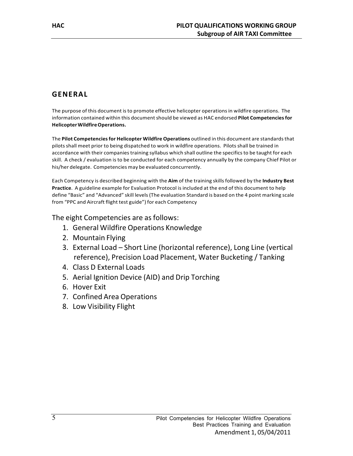# **GENERAL**

The purpose of this document is to promote effective helicopter operations in wildfire operations. The information contained within this document should be viewed as HAC endorsed Pilot Competencies for **HelicopterWildfireOperations.**

The **Pilot Competenciesfor Helicopter Wildfire Operations** outlined in this document are standardsthat pilotsshall meet prior to being dispatched to work in wildfire operations. Pilots shall be trained in accordance with their companies training syllabus which shall outline the specifics to be taught for each skill. A check / evaluation is to be conducted for each competency annually by the company Chief Pilot or his/her delegate. Competencies may be evaluated concurrently.

Each Competency is described beginning with the **Aim** of the training skillsfollowed by the **Industry Best Practice**. A guideline example for Evaluation Protocol is included at the end of this document to help define "Basic" and "Advanced" skill levels(The evaluation Standard is based on the 4 point marking scale from "PPC and Aircraft flight test guide") for each Competency

The eight Competencies are as follows:

- 1. General Wildfire Operations Knowledge
- 2. Mountain Flying
- 3. External Load Short Line (horizontal reference), Long Line (vertical reference), Precision Load Placement, Water Bucketing / Tanking
- 4. Class D External Loads
- 5. Aerial Ignition Device (AID) and Drip Torching
- 6. Hover Exit
- 7. Confined Area Operations
- 8. Low Visibility Flight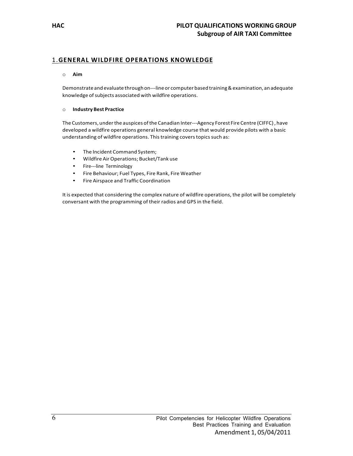# 1.**GENERAL WILDFIRE OPERATIONS KNOWLEDGE**

#### o **Aim**

Demonstrateand evaluate throughon---lineor computerbasedtraining&examination, an adequate knowledge of subjects associated with wildfire operations.

#### o **Industry Best Practice**

The Customers, under the auspices of the Canadian Inter---Agency Forest Fire Centre (CIFFC), have developed a wildfire operations general knowledge course that would provide pilots with a basic understanding of wildfire operations. This training covers topics such as:

- The Incident Command System;
- Wildfire AirOperations; Bucket/Tank use
- Fire---line Terminology
- Fire Behaviour; Fuel Types, Fire Rank, Fire Weather
- Fire Airspace and Traffic Coordination

It is expected that considering the complex nature of wildfire operations, the pilot will be completely conversant with the programming of their radios and GPS in the field.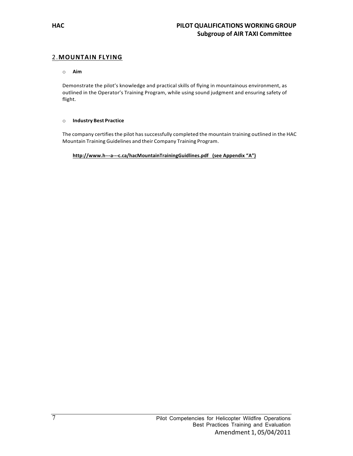### 2.**MOUNTAIN FLYING**

#### o **Aim**

Demonstrate the pilot's knowledge and practical skills of flying in mountainous environment, as outlined in the Operator's Training Program, while using sound judgment and ensuring safety of flight.

#### o **Industry Best Practice**

The company certifies the pilot has successfully completed the mountain training outlined in the HAC Mountain Training Guidelines and their Company Training Program.

**http://www.h---a---c.ca/hacMountainTrainingGuidlines.pdf (see Appendix "A")**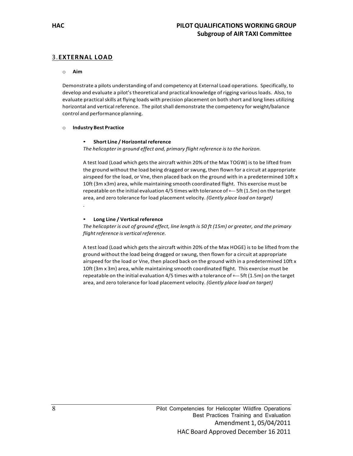### 3.**EXTERNAL LOAD**

#### o **Aim**

Demonstrate a pilots understanding of and competency at External Load operations. Specifically, to develop and evaluate a pilot's theoretical and practical knowledge of rigging various loads. Also, to evaluate practical skills at flying loads with precision placement on both short and long lines utilizing horizontal and vertical reference. The pilot shall demonstrate the competency for weight/balance control and performance planning.

#### o **Industry Best Practice**

#### • **Short Line / Horizontalreference**

*The helicopter in ground effect and, primary flight reference isto the horizon.*

A test load (Load which gets the aircraft within 20% of the Max TOGW) is to be lifted from the ground without the load being dragged or swung, then flown for a circuit at appropriate airspeed for the load, or Vne, then placed back on the ground with in a predetermined 10ft x 10ft (3m x3m) area, while maintaining smooth coordinated flight. This exercise must be repeatable on the initial evaluation 4/5 times with tolerance of +--- 5ft (1.5m) on the target area, and zero tolerance for load placement velocity. *(Gently place load on target)* .

#### • **Long Line / Vertical reference**

*The helicopter is out of ground effect, line length is 50 ft (15m) or greater, and the primary flight reference is vertical reference.* 

A test load (Load which gets the aircraft within 20% of the Max HOGE) is to be lifted from the ground without the load being dragged orswung, then flown for a circuit at appropriate airspeed for the load or Vne, then placed back on the ground with in a predetermined 10ft x 10ft (3m x 3m) area, while maintaining smooth coordinated flight. This exercise must be repeatable on the initial evaluation 4/5 times with a tolerance of +--- 5ft (1.5m) on the target area, and zero tolerance for load placement velocity. *(Gently place load on target)*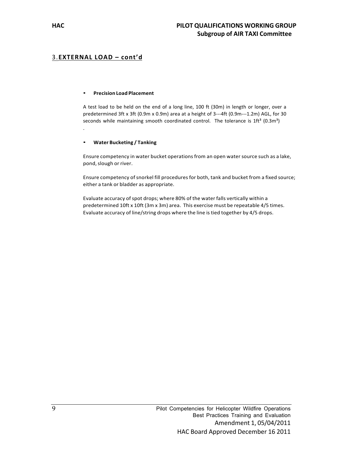### 3.**EXTERNAL LOAD – cont'd**

#### • **Precision Load Placement**

A test load to be held on the end of a long line, 100 ft (30m) in length or longer, over a predetermined 3ft x 3ft (0.9m x 0.9m) area at a height of 3---4ft (0.9m---1.2m) AGL, for 30 seconds while maintaining smooth coordinated control. The tolerance is  $1ft<sup>3</sup>$  (0.3m<sup>3</sup>) .

#### • **Water Bucketing / Tanking**

Ensure competency in water bucket operationsfrom an open watersource such as a lake, pond, slough or river.

Ensure competency of snorkel fill procedures for both, tank and bucket from a fixed source; either a tank or bladder as appropriate.

Evaluate accuracy of spot drops; where 80% of the water falls vertically within a predetermined 10ft x 10ft (3m x 3m) area. This exercise must be repeatable 4/5 times. Evaluate accuracy of line/string drops where the line istied together by 4/5 drops.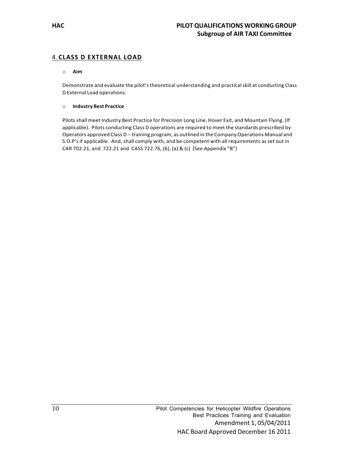### 4.**CLASS D EXTERNAL LOAD**

#### o **Aim**

Demonstrate and evaluate the pilot's theoretical understanding and practical skill at conducting Class D External Load operations.

#### o **Industry Best Practice**

Pilots shall meet Industry Best Practice for Precision Long Line, Hover Exit, and Mountain Flying. (If applicable). Pilots conducting Class D operations are required to meet the standards prescribed by Operators approved Class D --- training program, as outlined in the Company Operations Manual and S.O.P'sif applicable. And, shall comply with, and be competent with all requirements as set out in CAR 702.21, and 722.21 and CASS 722.76, (6), (a) & (c) (See Appendix "B")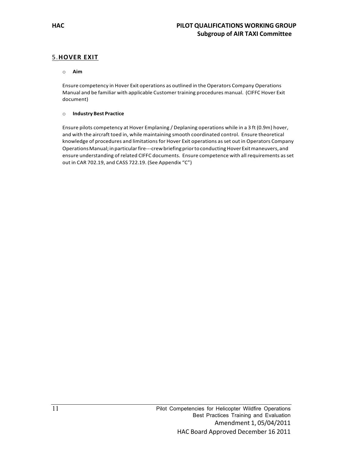## 5.**HOVER EXIT**

#### o **Aim**

Ensure competency in Hover Exit operations as outlined in the Operators Company Operations Manual and be familiar with applicable Customer training procedures manual. (CIFFC Hover Exit document)

#### o **Industry Best Practice**

Ensure pilots competency at Hover Emplaning / Deplaning operations while in a 3 ft (0.9m) hover, and with the aircraft toed in, while maintaining smooth coordinated control. Ensure theoretical knowledge of procedures and limitations for Hover Exit operations as set out in Operators Company Operations Manual; in particular fire---crew briefing prior to conducting Hover Exit maneuvers, and ensure understanding of related CIFFC documents. Ensure competence with all requirements asset out in CAR 702.19, and CASS 722.19. (See Appendix "C")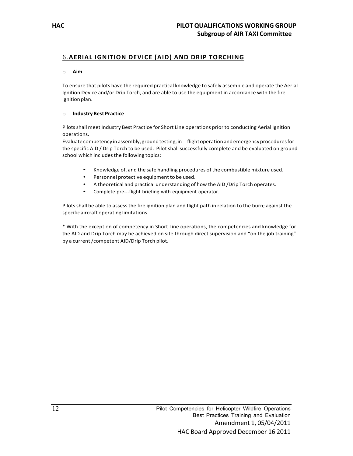# 6.**AERIAL IGNITION DEVICE (AID) AND DRIP TORCHING**

#### o **Aim**

To ensure that pilots have the required practical knowledge to safely assemble and operate the Aerial Ignition Device and/or Drip Torch, and are able to use the equipment in accordance with the fire ignition plan.

#### o **Industry Best Practice**

Pilotsshall meet Industry Best Practice for Short Line operations prior to conducting Aerial Ignition operations.

Evaluatecompetency inassembly,groundtesting,in---flightoperationandemergencyproceduresfor the specific AID / Drip Torch to be used. Pilot shall successfully complete and be evaluated on ground school which includes the following topics:

- Knowledge of, and the safe handling procedures of the combustible mixture used.
- Personnel protective equipment to be used.
- A theoretical and practical understanding of how the AID /Drip Torch operates.
- Complete pre---flight briefing with equipment operator.

Pilots shall be able to assess the fire ignition plan and flight path in relation to the burn; against the specific aircraft operating limitations.

\* With the exception of competency in Short Line operations, the competencies and knowledge for the AID and Drip Torch may be achieved on site through direct supervision and "on the job training" by a current/competent AID/Drip Torch pilot.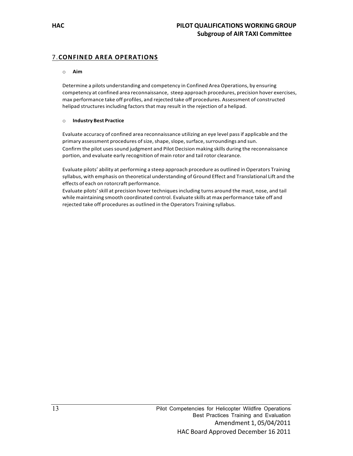### 7.**CONFINED AREA OPERATIONS**

#### o **Aim**

Determine a pilots understanding and competency in Confined Area Operations, by ensuring competency at confined area reconnaissance, steep approach procedures, precision hover exercises, max performance take off profiles, and rejected take off procedures. Assessment of constructed helipad structures including factors that may result in the rejection of a helipad.

#### o **Industry Best Practice**

Evaluate accuracy of confined area reconnaissance utilizing an eye level passif applicable and the primary assessment procedures of size, shape, slope, surface, surroundings and sun. Confirm the pilot uses sound judgment and Pilot Decision making skills during the reconnaissance portion, and evaluate early recognition of main rotor and tail rotor clearance.

Evaluate pilots' ability at performing a steep approach procedure as outlined in Operators Training syllabus, with emphasis on theoretical understanding of Ground Effect and Translational Lift and the effects of each on rotorcraft performance.

Evaluate pilots'skill at precision hover techniquesincluding turns around the mast, nose, and tail while maintaining smooth coordinated control. Evaluate skills at max performance take off and rejected take off procedures as outlined in the Operators Training syllabus.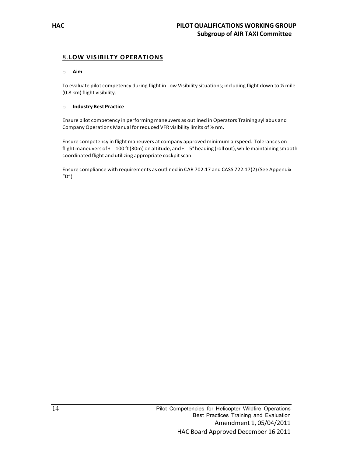### 8.**LOW VISIBILTY OPERATIONS**

#### o **Aim**

To evaluate pilot competency during flight in Low Visibility situations; including flight down to ½ mile (0.8 km) flight visibility.

#### o **Industry Best Practice**

Ensure pilot competency in performing maneuvers as outlined in Operators Training syllabus and Company Operations Manual for reduced VFR visibility limits of ½ nm.

Ensure competency in flight maneuvers at company approved minimum airspeed. Tolerances on flight maneuvers of +--- 100 ft (30m) on altitude, and +--- 5° heading (roll out), while maintaining smooth coordinated flight and utilizing appropriate cockpit scan.

Ensure compliance with requirements as outlined in CAR 702.17 and CASS 722.17(2) (See Appendix  $"D"$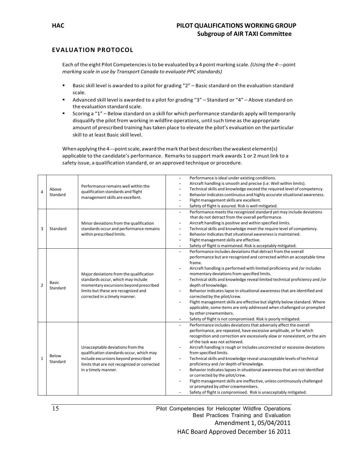### **EVALUATION PROTOCOL**

Each of the eight Pilot Competenciesisto be evaluated by a 4 point marking scale*. (Using the 4*---point *marking scale in use by Transport Canada to evaluate PPC standards)*

- Basic skill level is awarded to a pilot for grading "2" Basic standard on the evaluation standard scale.
- Advanced skill level is awarded to a pilot for grading "3" Standard or "4" Above standard on the evaluation standard scale.
- Scoring a "1" Below standard on a skill for which performance standards apply will temporarily disqualify the pilot from working in wildfire operations, until such time as the appropriate amount of prescribed training hastaken place to elevate the pilot's evaluation on the particular skill to at least Basic skill level.

When applying the 4---point scale, award the mark that best describes the weakest element(s) applicable to the candidate's performance. Remarks to support mark awards 1 or 2 must link to a safety issue, a qualification standard, or an approved technique or procedure.

| $\overline{4}$<br>3 | Above<br>Standard<br>Standard | Performance remains well within the<br>qualification standards and flight<br>management skills are excellent.<br>Minor deviations from the qualification<br>standards occur and performance remains<br>within prescribed limits. | Performance is ideal under existing conditions.<br>$\overline{\phantom{a}}$<br>Aircraft handling is smooth and precise (i.e. Well within limits).<br>Technical skills and knowledge exceed the required level of competency.<br>Behavior indicates continuous and highly accurate situational awareness.<br>Flight management skills are excellent.<br>$\overline{\phantom{a}}$<br>Safety of flight is assured. Risk is well mitigated.<br>$\overline{\phantom{a}}$<br>Performance meets the recognized standard yet may include deviations<br>$\overline{\phantom{a}}$<br>that do not detract from the overall performance.<br>Aircraft handling is positive and within specified limits.<br>$\overline{\phantom{a}}$<br>Technical skills and knowledge meet the require level of competency.<br>$\qquad \qquad \blacksquare$<br>Behavior indicates that situational awareness is maintained.<br>$\overline{\phantom{a}}$<br>Flight management skills are effective.<br>$\overline{\phantom{a}}$ |
|---------------------|-------------------------------|----------------------------------------------------------------------------------------------------------------------------------------------------------------------------------------------------------------------------------|---------------------------------------------------------------------------------------------------------------------------------------------------------------------------------------------------------------------------------------------------------------------------------------------------------------------------------------------------------------------------------------------------------------------------------------------------------------------------------------------------------------------------------------------------------------------------------------------------------------------------------------------------------------------------------------------------------------------------------------------------------------------------------------------------------------------------------------------------------------------------------------------------------------------------------------------------------------------------------------------------|
|                     |                               |                                                                                                                                                                                                                                  | Safety of flight is maintained. Risk is acceptably mitigated.<br>$\overline{\phantom{a}}$                                                                                                                                                                                                                                                                                                                                                                                                                                                                                                                                                                                                                                                                                                                                                                                                                                                                                                         |
| $\overline{2}$      | Basic<br>Standard             | Major deviations from the qualification<br>standards occur, which may include<br>momentary excursions beyond prescribed<br>limits but these are recognized and<br>corrected in a timely manner.                                  | Performance includes deviations that detract from the overall<br>performance but are recognized and corrected within an acceptable time<br>frame.<br>Aircraft handling is performed with limited proficiency and /or includes<br>momentary deviations from specified limits.<br>Technical skills and knowledge reveal limited technical proficiency and /or<br>$\overline{\phantom{a}}$<br>depth of knowledge.<br>Behavior indicates lapse in situational awareness that are identified and<br>$\overline{\phantom{a}}$<br>corrected by the pilot/crew.<br>Flight management skills are effective but slightly below standard. Where<br>applicable, some items are only addressed when challenged or prompted<br>by other crewmembers.<br>Safety of flight is not compromised. Risk is poorly mitigated.                                                                                                                                                                                          |
| $\mathbf{1}$        | Below<br>Standard             | Unacceptable deviations from the<br>qualification standards occur, which may<br>include excursions beyond prescribed<br>limits that are not recognized or corrected<br>in a timely manner.                                       | Performance includes deviations that adversely affect the overall<br>$\overline{\phantom{a}}$<br>performance, are repeated, have excessive amplitude, or for which<br>recognition and correction are excessively slow or nonexistent, or the aim<br>of the task was not achieved.<br>Aircraft handling is rough or includes uncorrected or excessive deviations<br>$\overline{\phantom{a}}$<br>from specified limits.<br>Technical skills and knowledge reveal unacceptable levels of technical<br>$\overline{\phantom{a}}$<br>proficiency and /or depth of knowledge.<br>Behavior indicates lapses in situational awareness that are not identified<br>or corrected by the pilot/crew.<br>Flight management skills are ineffective, unless continuously challenged<br>or prompted by other crewmembers.<br>Safety of flight is compromised. Risk is unacceptably mitigated.                                                                                                                      |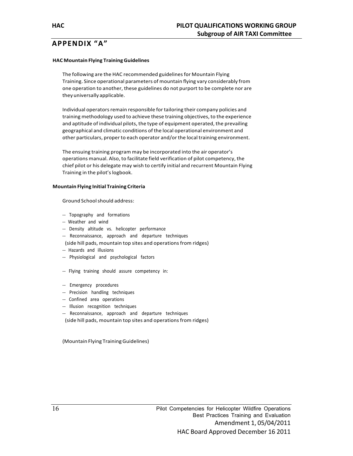# **APPENDIX "A"**

#### **HAC Mountain Flying Training Guidelines**

The following are the HAC recommended guidelines for Mountain Flying Training. Since operational parameters of mountain flying vary considerably from one operation to another, these guidelines do not purport to be complete nor are they universally applicable.

Individual operators remain responsible for tailoring their company policies and training methodology used to achieve these training objectives, to the experience and aptitude of individual pilots, the type of equipment operated, the prevailing geographical and climatic conditions of the local operational environment and other particulars, proper to each operator and/or the local training environment.

The ensuing training program may be incorporated into the air operator's operations manual. Also, to facilitate field verification of pilot competency, the chief pilot or his delegate may wish to certify initial and recurrent Mountain Flying Training in the pilot's logbook.

#### **Mountain Flying Initial Training Criteria**

Ground Schoolshould address:

- --- Topography and formations
- --- Weather and wind
- --- Density altitude vs. helicopter performance
- --- Reconnaissance, approach and departure techniques
- (side hill pads, mountain top sites and operations from ridges)
- --- Hazards and illusions
- --- Physiological and psychological factors
- --- Flying training should assure competency in:
- --- Emergency procedures
- --- Precision handling techniques
- --- Confined area operations
- --- Illusion recognition techniques
- --- Reconnaissance, approach and departure techniques
- (side hill pads, mountain top sites and operations from ridges)

(Mountain Flying TrainingGuidelines)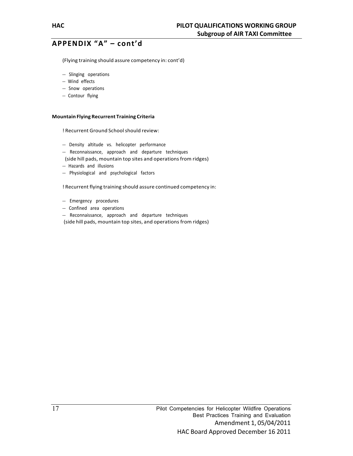(Flying training should assure competency in: cont'd)

- --- Slinging operations
- -- Wind effects
- --- Snow operations
- -- Contour flying

#### **Mountain Flying Recurrent Training Criteria**

! Recurrent Ground Schoolshould review:

- --- Density altitude vs. helicopter performance
- --- Reconnaissance, approach and departure techniques
- (side hill pads, mountain top sites and operations from ridges)
- --- Hazards and illusions
- --- Physiological and psychological factors

! Recurrent flying training should assure continued competency in:

- --- Emergency procedures
- --- Confined area operations
- --- Reconnaissance, approach and departure techniques
- (side hill pads, mountain top sites, and operations from ridges)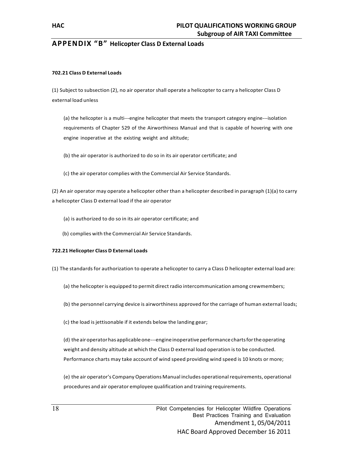# **APPENDIX "B" Helicopter Class D External Loads**

#### **702.21 Class D External Loads**

(1) Subject to subsection (2), no air operator shall operate a helicopter to carry a helicopter Class D external load unless

(a) the helicopter is a multi---engine helicopter that meets the transport category engine---isolation requirements of Chapter 529 of the Airworthiness Manual and that is capable of hovering with one engine inoperative at the existing weight and altitude;

(b) the air operator is authorized to do so in its air operator certificate; and

(c) the air operator complies with the Commercial Air Service Standards.

(2) An air operator may operate a helicopter other than a helicopter described in paragraph (1)(a) to carry a helicopter Class D external load if the air operator

- (a) is authorized to do so in its air operator certificate; and
- (b) complies with the Commercial Air Service Standards.

#### **722.21 Helicopter Class D External Loads**

- (1) The standardsfor authorization to operate a helicopter to carry a Class D helicopter external load are:
	- (a) the helicopteris equipped to permit directradio intercommunication among crewmembers;
	- (b) the personnel carrying device is airworthiness approved for the carriage of human external loads;
	- (c) the load is jettisonable if it extends below the landing gear;

(d) theairoperatorhas applicableone---engineinoperativeperformancechartsfortheoperating weight and density altitude at which the Class D external load operation isto be conducted. Performance charts may take account of wind speed providing wind speed is 10 knots or more;

(e) the air operator's CompanyOperations Manual includes operationalrequirements, operational procedures and air operator employee qualification and training requirements.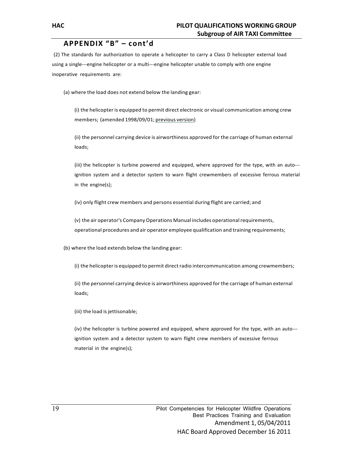(2) The standards for authorization to operate a helicopter to carry a Class D helicopter external load using a single---engine helicopter or a multi---engine helicopter unable to comply with one engine inoperative requirements are:

(a) where the load does not extend below the landing gear:

(i) the helicopter is equipped to permit direct electronic or visual communication among crew members; (amended 1998/09/01; previous version)

(ii) the personnel carrying device is airworthiness approved for the carriage of human external loads;

(iii) the helicopter is turbine powered and equipped, where approved for the type, with an auto-- ignition system and a detector system to warn flight crewmembers of excessive ferrous material in the engine(s);

(iv) only flight crew members and persons essential during flight are carried; and

(v) the air operator's CompanyOperations Manual includes operationalrequirements, operational procedures and air operator employee qualification and training requirements;

(b) where the load extends below the landing gear:

(i) the helicopter is equipped to permit direct radio intercommunication among crewmembers;

(ii) the personnel carrying device is airworthiness approved for the carriage of human external loads;

(iii) the load is jettisonable;

(iv) the helicopter is turbine powered and equipped, where approved for the type, with an auto-- ignition system and a detector system to warn flight crew members of excessive ferrous material in the engine(s);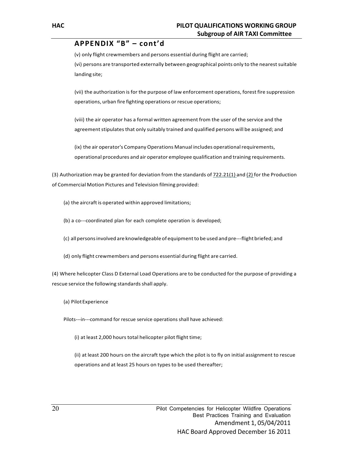(v) only flight crewmembers and persons essential during flight are carried; (vi) persons are transported externally between geographical points only to the nearest suitable landing site;

(vii) the authorization isfor the purpose of law enforcement operations, forest fire suppression operations, urban fire fighting operations or rescue operations;

(viii) the air operator has a formal written agreement from the user of the service and the agreement stipulates that only suitably trained and qualified persons will be assigned; and

(ix) the air operator's CompanyOperations Manual includes operationalrequirements, operational procedures and air operator employee qualification and training requirements.

(3) Authorization may be granted for deviation from the standards of  $722.21(1)$  and  $(2)$  for the Production of Commercial Motion Pictures and Television filming provided:

- (a) the aircraft is operated within approved limitations;
- (b) a co---coordinated plan for each complete operation is developed;
- (c) allpersonsinvolved are knowledgeable of equipmentto be used and pre---flight briefed; and
- (d) only flight crewmembers and persons essential during flight are carried.

(4) Where helicopter Class D External Load Operations are to be conducted for the purpose of providing a rescue service the following standards shall apply.

(a) PilotExperience

Pilots---in---command for rescue service operations shall have achieved:

(i) at least 2,000 hours total helicopter pilot flight time;

(ii) at least 200 hours on the aircraft type which the pilot is to fly on initial assignment to rescue operations and at least 25 hours on types to be used thereafter;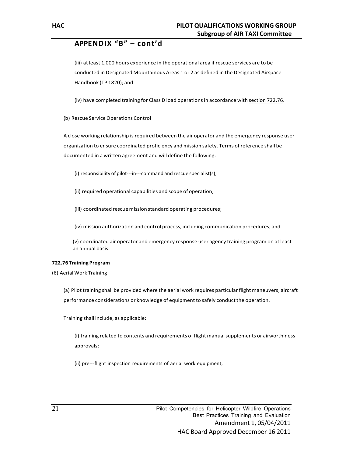(iii) at least 1,000 hours experience in the operational area if rescue services are to be conducted in Designated Mountainous Areas 1 or 2 as defined in the Designated Airspace Handbook (TP 1820); and

(iv) have completed training for Class D load operationsin accordance with section 722.76.

(b) Rescue Service Operations Control

A close working relationship is required between the air operator and the emergency response user organization to ensure coordinated proficiency and mission safety. Terms of reference shall be documented in a written agreement and will define the following:

(i) responsibility of pilot---in---command and rescue specialist(s);

(ii) required operational capabilities and scope of operation;

(iii) coordinated rescue mission standard operating procedures;

(iv) mission authorization and control process, including communication procedures; and

(v) coordinated air operator and emergency response user agency training program on at least an annual basis.

#### **722.76 Training Program**

(6) Aerial Work Training

(a) Pilot training shall be provided where the aerial work requires particular flight maneuvers, aircraft performance considerations or knowledge of equipment to safely conduct the operation.

Training shall include, as applicable:

(i) training related to contents and requirements of flight manualsupplements or airworthiness approvals;

(ii) pre---flight inspection requirements of aerial work equipment;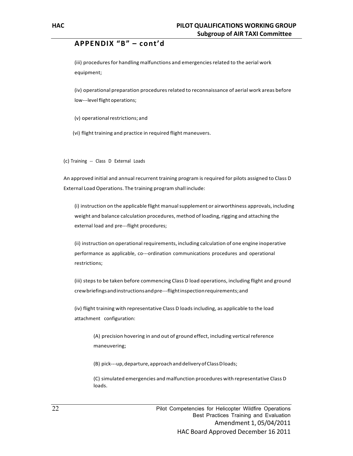(iii) procedures for handling malfunctions and emergencies related to the aerial work equipment;

(iv) operational preparation procedures related to reconnaissance of aerial work areas before low---level flight operations;

(v) operationalrestrictions; and

(vi) flight training and practice in required flight maneuvers.

(c) Training -- Class D External Loads

An approved initial and annual recurrent training program isrequired for pilots assigned to Class D External Load Operations. The training program shall include:

(i) instruction on the applicable flight manualsupplement or airworthiness approvals, including weight and balance calculation procedures, method of loading, rigging and attaching the external load and pre---flight procedures;

(ii) instruction on operational requirements, including calculation of one engine inoperative performance as applicable, co---ordination communications procedures and operational restrictions;

(iii) stepsto be taken before commencing Class D load operations, including flight and ground crewbriefingsandinstructionsandpre---flightinspectionrequirements;and

(iv) flight training with representative Class D loadsincluding, as applicable to the load attachment configuration:

(A) precision hovering in and out of ground effect, including vertical reference maneuvering;

(B) pick---up,departure,approachanddeliveryofClassDloads;

(C) simulated emergencies and malfunction procedures with representative Class D loads.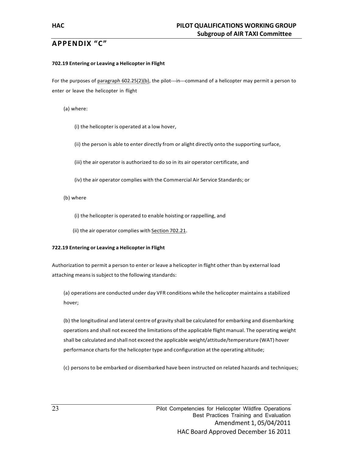# **APPENDIX "C"**

#### **702.19 Entering or Leaving a Helicopter in Flight**

For the purposes of paragraph 602.25(2)(b), the pilot---in---command of a helicopter may permit a person to enter or leave the helicopter in flight

(a) where:

(i) the helicopter is operated at a low hover,

(ii) the person is able to enter directly from or alight directly onto the supporting surface,

(iii) the air operator is authorized to do so in its air operator certificate, and

(iv) the air operator complies with the Commercial Air Service Standards; or

(b) where

(i) the helicopter is operated to enable hoisting or rappelling, and

(ii) the air operator complies with Section 702.21.

#### **722.19 Entering or Leaving a Helicopter in Flight**

Authorization to permit a person to enter or leave a helicopter in flight other than by external load attaching means is subject to the following standards:

(a) operations are conducted under day VFR conditions while the helicopter maintains a stabilized hover;

(b) the longitudinal and lateral centre of gravity shall be calculated for embarking and disembarking operations and shall not exceed the limitations of the applicable flight manual. The operating weight shall be calculated and shall not exceed the applicable weight/attitude/temperature (WAT) hover performance charts for the helicopter type and configuration at the operating altitude;

(c) personsto be embarked or disembarked have been instructed on related hazards and techniques;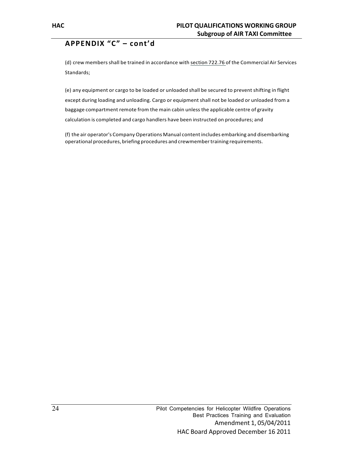(d) crew members shall be trained in accordance with section 722.76 of the Commercial Air Services Standards;

(e) any equipment or cargo to be loaded or unloaded shall be secured to prevent shifting in flight except during loading and unloading. Cargo or equipmentshall not be loaded or unloaded from a baggage compartment remote from the main cabin unlessthe applicable centre of gravity calculation is completed and cargo handlers have been instructed on procedures; and

(f) the air operator's Company Operations Manual content includes embarking and disembarking operational procedures, briefing procedures and crewmembertraining requirements.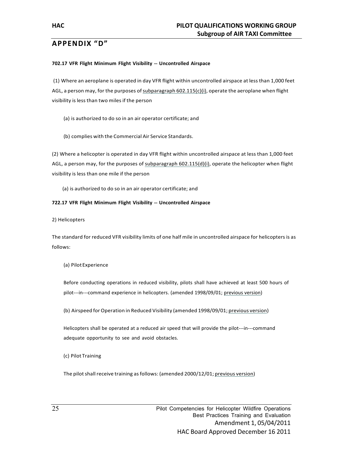# **APPENDIX "D"**

#### **702.17 VFR Flight Minimum Flight Visibility --- Uncontrolled Airspace**

(1) Where an aeroplane is operated in day VFR flight within uncontrolled airspace at lessthan 1,000 feet AGL, a person may, for the purposes of subparagraph 602.115(c)(i), operate the aeroplane when flight visibility is less than two miles if the person

- (a) is authorized to do so in an air operator certificate; and
- (b) complies with the Commercial Air Service Standards.

(2) Where a helicopter is operated in day VFR flight within uncontrolled airspace at less than 1,000 feet AGL, a person may, for the purposes of subparagraph 602.115(d)(i), operate the helicopter when flight visibility is less than one mile if the person

(a) is authorized to do so in an air operator certificate; and

#### **722.17 VFR Flight Minimum Flight Visibility --- Uncontrolled Airspace**

2) Helicopters

The standard for reduced VFR visibility limits of one half mile in uncontrolled airspace for helicopters is as follows:

(a) PilotExperience

Before conducting operations in reduced visibility, pilots shall have achieved at least 500 hours of pilot---in---command experience in helicopters. (amended 1998/09/01; previous version)

(b) Airspeed for Operation in Reduced Visibility (amended 1998/09/01; previous version)

Helicopters shall be operated at a reduced air speed that will provide the pilot---in---command adequate opportunity to see and avoid obstacles.

(c) Pilot Training

The pilotshall receive training asfollows: (amended 2000/12/01; previous version)